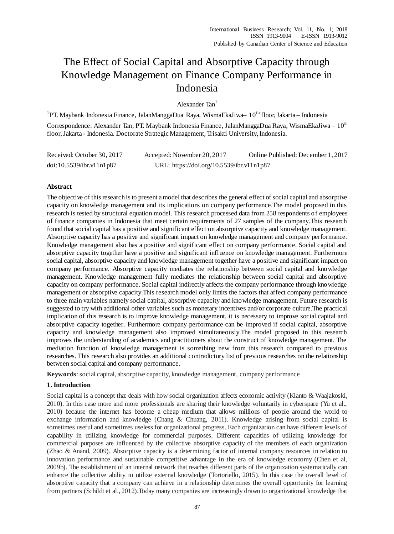# The Effect of Social Capital and Absorptive Capacity through Knowledge Management on Finance Company Performance in Indonesia

Alexander  $Tan<sup>1</sup>$ 

<sup>1</sup>PT. Maybank Indonesia Finance, JalanManggaDua Raya, WismaEkaJiwa-10<sup>th</sup> floor, Jakarta - Indonesia

Correspondence: Alexander Tan, PT. Maybank Indonesia Finance, JalanManggaDua Raya, WismaEkaJiwa – 10<sup>th</sup> floor, Jakarta - Indonesia. Doctorate Strategic Management, Trisakti University, Indonesia.

| Received: October 30, 2017 | Accepted: November 20, 2017               | Online Published: December 1, 2017 |
|----------------------------|-------------------------------------------|------------------------------------|
| doi:10.5539/ibr.v11nlp87   | URL: https://doi.org/10.5539/ibr.v11n1p87 |                                    |

# **Abstract**

The objective of this research is to present a model that describes the general effect of social capital and absorptive capacity on knowledge management and its implications on company performance.The model proposed in this research is tested by structural equation model. This research processed data from 258 respondents of employees of finance companies in Indonesia that meet certain requirements of 27 samples of the company.This research found that social capital has a positive and significant effect on absorptive capacity and knowledge management. Absorptive capacity has a positive and significant impact on knowledge management and company performance. Knowledge management also has a positive and significant effect on company performance. Social capital and absorptive capacity together have a positive and significant influence on knowledge management. Furthermore social capital, absorptive capacity and knowledge management together have a positive and significant impact on company performance. Absorptive capacity mediates the relationship between social capital and knowledge management. Knowledge management fully mediates the relationship between social capital and absorptive capacity on company performance. Social capital indirectly affects the company performance through knowledge management or absorptive capacity.This research model only limits the factors that affect company performance to three main variables namely social capital, absorptive capacity and knowledge management. Future research is suggested to try with additional other variables such as monetary incentives and/or corporate culture.The practical implication of this research is to improve knowledge management, it is necessary to improve social capital and absorptive capacity together. Furthermore company performance can be improved if social capital, absorptive capacity and knowledge management also improved simultaneously.The model proposed in this research improves the understanding of academics and practitioners about the construct of knowledge management. The mediation function of knowledge management is something new from this research compared to previous researches. This research also provides an additional contradictory list of previous researches on the relationship between social capital and company performance.

**Keywords**: social capital, absorptive capacity, knowledge management, company performance

# **1. Introduction**

Social capital is a concept that deals with how social organization affects economic activity (Kianto & Waajakoski, 2010). In this case more and more professionals are sharing their knowledge voluntarily in cyberspace (Yu et al., 2010) because the internet has become a cheap medium that allows millions of people around the world to exchange information and knowledge (Chang & Chuang, 2011). Knowledge arising from social capital is sometimes useful and sometimes useless for organizational progress. Each organization can have different levels of capability in utilizing knowledge for commercial purposes. Different capacities of utilizing knowledge for commercial purposes are influenced by the collective absorptive capacity of the members of each organization (Zhao & Anand, 2009). Absorptive capacity is a determining factor of internal company resources in relation to innovation performance and sustainable competitive advantage in the era of knowledge economy (Chen et al, 2009b). The establishment of an internal network that reaches different parts of the organization systematically can enhance the collective ability to utilize external knowledge (Tortoriello, 2015). In this case the overall level of absorptive capacity that a company can achieve in a relationship determines the overall opportunity for learning from partners (Schildt et al., 2012).Today many companies are increasingly drawn to organizational knowledge that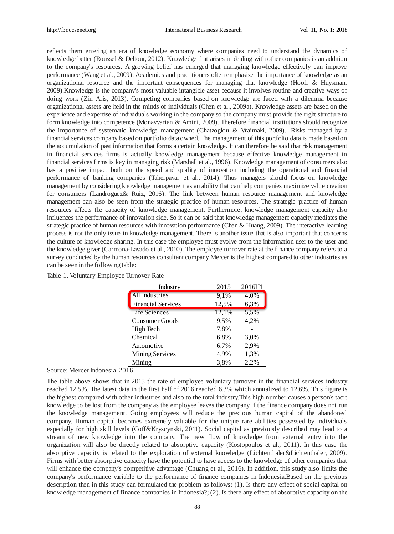reflects them entering an era of knowledge economy where companies need to understand the dynamics of knowledge better (Roussel & Deltour, 2012). Knowledge that arises in dealing with other companies is an addition to the company's resources. A growing belief has emerged that managing knowledge effectively can improve performance (Wang et al., 2009). Academics and practitioners often emphasize the importance of knowledge as an organizational resource and the important consequences for managing that knowledge (Hooff & Huysman, 2009).Knowledge is the company's most valuable intangible asset because it involves routine and creative ways of doing work (Zin Aris, 2013). Competing companies based on knowledge are faced with a dilemma because organizational assets are held in the minds of individuals (Chen et al., 2009a). Knowledge assets are based on the experience and expertise of individuals working in the company so the company must provide the right structure to form knowledge into competence (Monavvarian & Amini, 2009). Therefore financial institutions should recognize the importance of systematic knowledge management (Chatzoglou & Vraimaki, 2009).. Risks managed by a financial services company based on portfolio data owned. The management of this portfolio data is made based on the accumulation of past information that forms a certain knowledge. It can therefore be said that risk management in financial services firms is actually knowledge management because effective knowledge management in financial services firms is key in managing risk (Marshall et al., 1996). Knowledge management of consumers also has a positive impact both on the speed and quality of innovation including the operational and financial performance of banking companies (Taherpavar et al., 2014). Thus managers should focus on knowledge management by considering knowledge management as an ability that can help companies maximize value creation for consumers (Landroguez& Ruiz, 2016). The link between human resource management and knowledge management can also be seen from the strategic practice of human resources. The strategic practice of human resources affects the capacity of knowledge management. Furthermore, knowledge management capacity also influences the performance of innovation side. So it can be said that knowledge management capacity mediates the strategic practice of human resources with innovation performance (Chen & Huang, 2009). The interactive learning process is not the only issue in knowledge management. There is another issue that is also important that concerns the culture of knowledge sharing. In this case the employee must evolve from the information user to the user and the knowledge giver (Carmona-Lavado et al., 2010). The employee turnover rate at the finance company refers to a survey conducted by the human resources consultant company Mercer is the highest compared to other industries as can be seen in the following table:

| Industry                  | 2015  | 2016H1 |
|---------------------------|-------|--------|
| All Industries            | 9,1%  | 4,0%   |
| <b>Financial Services</b> | 12,5% | 6,3%   |
| Life Sciences             | 12,1% | 5,5%   |
| <b>Consumer Goods</b>     | 9,5%  | 4,2%   |
| High Tech                 | 7,8%  |        |
| Chemical                  | 6,8%  | 3,0%   |
| Automotive                | 6,7%  | 2,9%   |
| <b>Mining Services</b>    | 4,9%  | 1,3%   |
| Mining                    | 3,8%  | 2,2%   |

Table 1. Voluntary Employee Turnover Rate

Source: Mercer Indonesia, 2016

The table above shows that in 2015 the rate of employee voluntary turnover in the financial services industry reached 12.5%. The latest data in the first half of 2016 reached 6.3% which annualized to 12.6%. This figure is the highest compared with other industries and also to the total industry.This high number causes a person's tacit knowledge to be lost from the company as the employee leaves the company if the finance company does not run the knowledge management. Going employees will reduce the precious human capital of the abandoned company. Human capital becomes extremely valuable for the unique rare abilities possessed by individuals especially for high skill levels (Coff&Kryscynski, 2011). Social capital as previously described may lead to a stream of new knowledge into the company. The new flow of knowledge from external entry into the organization will also be directly related to absorptive capacity (Kostopoulos et al., 2011). In this case the absorptive capacity is related to the exploration of external knowledge (Lichtenthaler&Lichtenthaler, 2009). Firms with better absorptive capacity have the potential to have access to the knowledge of other companies that will enhance the company's competitive advantage (Chuang et al., 2016). In addition, this study also limits the company's performance variable to the performance of finance companies in Indonesia.Based on the previous description then in this study can formulated the problem as follows: (1). Is there any effect of social capital on knowledge management of finance companies in Indonesia?; (2). Is there any effect of absorptive capacity on the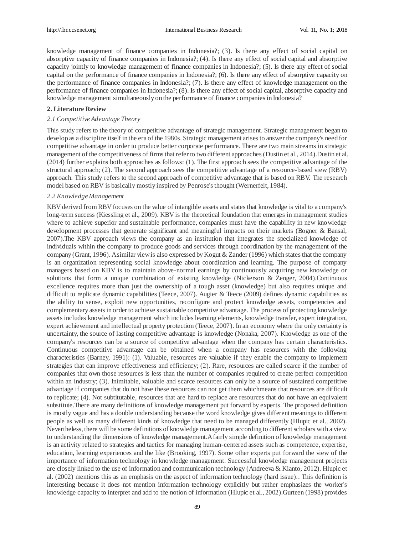knowledge management of finance companies in Indonesia?; (3). Is there any effect of social capital on absorptive capacity of finance companies in Indonesia?; (4). Is there any effect of social capital and absorptive capacity jointly to knowledge management of finance companies in Indonesia?; (5). Is there any effect of social capital on the performance of finance companies in Indonesia?; (6). Is there any effect of absorptive capacity on the performance of finance companies in Indonesia?; (7). Is there any effect of knowledge management on the performance of finance companies in Indonesia?; (8). Is there any effect of social capital, absorptive capacity and knowledge management simultaneously on the performance of finance companies in Indonesia?

# **2. Literature Review**

## *2.1 Competitive Advantage Theory*

This study refers to the theory of competitive advantage of strategic management. Strategic management began to develop as a discipline itself in the era of the 1980s. Strategic management arises to answer the company's need for competitive advantage in order to produce better corporate performance. There are two main streams in strategic management of the competitiveness of firms that refer to two different approaches (Dustin et al., 2014).Dustin et al. (2014) further explains both approaches as follows: (1). The first approach sees the competitive advantage of the structural approach; (2). The second approach sees the competitive advantage of a resource-based view (RBV) approach. This study refers to the second approach of competitive advantage that is based on RBV. The research model based on RBV is basically mostly inspired by Penrose's thought (Wernerfelt, 1984).

#### *2.2 Knowledge Management*

KBV derived from RBV focuses on the value of intangible assets and states that knowledge is vital to a company's long-term success (Kiessling et al., 2009). KBV is the theoretical foundation that emerges in management studies where to achieve superior and sustainable performance, companies must have the capability in new knowledge development processes that generate significant and meaningful impacts on their markets (Bogner & Bansal, 2007).The KBV approach views the company as an institution that integrates the specialized knowledge of individuals within the company to produce goods and services through coordination by the management of the company (Grant, 1996). A similar view is also expressed by Kogut & Zander (1996) which states that the company is an organization representing social knowledge about coordination and learning. The purpose of company managers based on KBV is to maintain above-normal earnings by continuously acquiring new knowledge or solutions that form a unique combination of existing knowledge (Nickerson & Zenger, 2004).Continuous excellence requires more than just the ownership of a tough asset (knowledge) but also requires unique and difficult to replicate dynamic capabilities (Teece, 2007). Augier & Teece (2009) defines dynamic capabilities as the ability to sense, exploit new opportunities, reconfigure and protect knowledge assets, competencies and complementary assets in order to achieve sustainable competitive advantage. The process of protecting knowledge assets includes knowledge management which includes learning elements, knowledge transfer, expert integration, expert achievement and intellectual property protection (Teece, 2007). In an economy where the only certainty is uncertainty, the source of lasting competitive advantage is knowledge (Nonaka, 2007). Knowledge as one of the company's resources can be a source of competitive advantage when the company has certain characteristics. Continuous competitive advantage can be obtained when a company has resources with the following characteristics (Barney, 1991): (1). Valuable, resources are valuable if they enable the company to implement strategies that can improve effectiveness and efficiency; (2). Rare, resources are called scarce if the number of companies that own those resources is less than the number of companies required to create perfect competition within an industry; (3). Inimitable, valuable and scarce resources can only be a source of sustained competitive advantage if companies that do not have these resources can not get them whichmeans that resources are difficult to replicate; (4). Not subtitutable, resources that are hard to replace are resources that do not have an equivalent substitute.There are many definitions of knowledge management put forward by experts. The proposed definition is mostly vague and has a double understanding because the word knowledge gives different meanings to different people as well as many different kinds of knowledge that need to be managed differently (Hlupic et al., 2002). Nevertheless, there will be some definitions of knowledge management according to different scholars with a view to understanding the dimensions of knowledge management.A fairly simple definition of knowledge management is an activity related to strategies and tactics for managing human-centered assets such as competence, expertise, education, learning experiences and the like (Brooking, 1997). Some other experts put forward the view of the importance of information technology in knowledge management. Successful knowledge management projects are closely linked to the use of information and communication technology (Andreeva & Kianto, 2012). Hlupic et al. (2002) mentions this as an emphasis on the aspect of information technology (hard issue).. This definition is interesting because it does not mention information technology explicitly but rather emphasizes the worker's knowledge capacity to interpret and add to the notion of information (Hlupic et al., 2002).Gurteen (1998) provides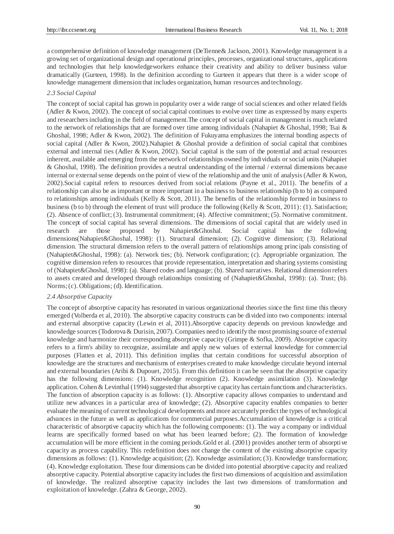a comprehensive definition of knowledge management (DeTienne& Jackson, 2001). Knowledge management is a growing set of organizational design and operational principles, processes, organizational structures, applications and technologies that help knowledgeworkers enhance their creativity and ability to deliver business value dramatically (Gurteen, 1998). In the definition according to Gurteen it appears that there is a wider scope of knowledge management dimension that includes organization, human resources and technology.

# *2.3 Social Capital*

The concept of social capital has grown in popularity over a wide range of social sciences and other related fields (Adler & Kwon, 2002). The concept of social capital continues to evolve over time as expressed by many experts and researchers including in the field of management.The concept of social capital in management is much related to the network of relationships that are formed over time among individuals (Nahapiet & Ghoshal, 1998; Tsai & Ghoshal, 1998; Adler & Kwon, 2002). The definition of Fukuyama emphasizes the internal bonding aspects of social capital (Adler & Kwon, 2002).Nahapiet & Ghoshal provide a definition of social capital that combines external and internal ties (Adler & Kwon, 2002). Social capital is the sum of the potential and actual resources inherent, available and emerging from the network of relationships owned by individuals or social units (Nahapiet & Ghoshal, 1998). The definition provides a neutral understanding of the internal / external dimensions because internal or external sense depends on the point of view of the relationship and the unit of analysis (Adler & Kwon, 2002).Social capital refers to resources derived from social relations (Payne et al., 2011). The benefits of a relationship can also be as important or more important in a business to business relationship (b to b) as compared to relationships among individuals (Kelly & Scott, 2011). The benefits of the relationship formed in business to business (b to b) through the element of trust will produce the following (Kelly & Scott, 2011): (1). Satisfaction; (2). Absence of conflict; (3). Instrumental commitment; (4). Affective commitment; (5). Normative commitment. The concept of social capital has several dimensions. The dimensions of social capital that are widely used in research are those proposed by Nahapiet&Ghoshal. Social capital has the following dimensions(Nahapiet&Ghoshal, 1998): (1). Structural dimension; (2). Cognitive dimension; (3). Relational dimension. The structural dimension refers to the overall pattern of relationships among principals consisting of (Nahapiet&Ghoshal, 1998): (a). Network ties; (b). Network configuration; (c). Appropriable organization. The cognitive dimension refers to resources that provide representation, interpretation and sharing systems consisting of (Nahapiet&Ghoshal, 1998): (a). Shared codes and language; (b). Shared narratives. Relational dimension refers to assets created and developed through relationships consisting of (Nahapiet&Ghoshal, 1998): (a). Trust; (b). Norms; (c). Obligations; (d). Identification.

#### *2.4 Absorptive Capacity*

The concept of absorptive capacity has resonated in various organizational theories since the first time this theory emerged (Volberda et al, 2010). The absorptive capacity constructs can be divided into two components: internal and external absorptive capacity (Lewin et al, 2011).Absorptive capacity depends on previous knowledge and knowledge sources (Todorova & Durisin, 2007). Companies need to identify the most promising source of external knowledge and harmonize their corresponding absorptive capacity (Grimpe & Sofka, 2009). Absorptive capacity refers to a firm's ability to recognize, assimilate and apply new values of external knowledge for commercial purposes (Flatten et al, 2011). This definition implies that certain conditions for successful absorption of knowledge are the structures and mechanisms of enterprises created to make knowledge circulate beyond internal and external boundaries (Aribi & Dupouet, 2015). From this definition it can be seen that the absorptive capacity has the following dimensions: (1). Knowledge recognition (2). Knowledge assimilation (3). Knowledge application. Cohen & Levinthal (1994) suggested that absorptive capacity has certain functions and characteristics. The function of absorption capacity is as follows: (1). Absorptive capacity allows companies to understand and utilize new advances in a particular area of knowledge; (2). Absorptive capacity enables companies to better evaluate the meaning of current technological developments and more accurately predict the types of technological advances in the future as well as applications for commercial purposes.Accumulation of knowledge is a critical characteristic of absorptive capacity which has the following components: (1). The way a company or individual learns are specifically formed based on what has been learned before; (2). The formation of knowledge accumulation will be more efficient in the coming periods.Gold et al. (2001) provides another term of absorptive capacity as process capability. This redefinition does not change the content of the existing absorptive capacity dimensions as follows: (1). Knowledge acquisition; (2). Knowledge assimilation; (3). Knowledge transformation; (4). Knowledge exploitation. These four dimensions can be divided into potential absorptive capacity and realized absorptive capacity. Potential absorptive capacity includes the first two dimensions of acquisition and assimilation of knowledge. The realized absorptive capacity includes the last two dimensions of transformation and exploitation of knowledge. (Zahra & George, 2002).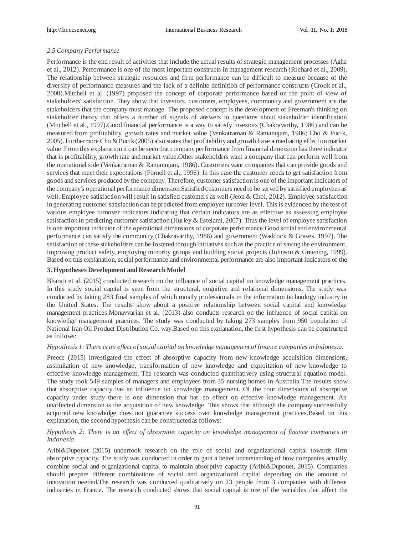# *2.5 Company Performance*

Performance is the end result of activities that include the actual results of strategic management processes (Agha et al., 2012). Performance is one of the most important constructs in management research (Richard et al., 2009). The relationship between strategic resources and firm performance can be difficult to measure because of the diversity of performance measures and the lack of a definite definition of performance constructs (Crook et al., 2008).Mitchell et al. (1997) proposed the concept of corporate performance based on the point of view of stakeholders' satisfaction. They show that investors, customers, employees, community and government are the stakeholders that the company must manage. The proposed concept is the development of Freeman's thinking on stakeholder theory that offers a number of signals of answers to questions about stakeholder identification (Mitchell et al., 1997).Good financial performance is a way to satisfy investors (Chakravarthy, 1986) and can be measured from profitability, growth rates and market value (Venkatraman & Ramanujam, 1986; Cho & Pucik, 2005). Furthermore Cho & Pucik (2005) also states that profitability and growth have a mediating effect on market value. From this explanation it can be seen that company performance from financial dimension has three indicator that is profitability, growth rate and market value.Other stakeholders want a company that can perform well from the operational side (Venkatraman & Ramanujam, 1986). Customers want companies that can provide goods and services that meet their expectations (Fornell et al., 1996). In this case the customer needs to get satisfaction from goods and services produced by the company. Therefore, customer satisfaction is one of the important indicators of the company's operational performance dimension.Satisfied customers need to be served by satisfied employees as well. Employee satisfaction will result in satisfied customers as well (Jeon & Choi, 2012). Employee satisfaction in generating customer satisfaction can be predicted from employee turnover level. This is evidenced by the test of various employee turnover indicators indicating that certain indicators are as effective as assessing employee satisfaction in predicting customer satisfaction (Hurley & Estelami, 2007). Thus the level of employee satisfaction is one important indicator of the operational dimensions of corporate performance.Good social and environmental performance can satisfy the community (Chakravarthy, 1986) and government (Waddock & Graves, 1997). The satisfaction of these stakeholders can be fostered through initiatives such as the practice of saving the environment, improving product safety, employing minority groups and building social projects (Johnson & Greening, 1999). Based on this explanation, social performance and environmental performance are also important indicators of the

# **3. Hypotheses Development and Research Model**

Bharati et al. (2015) conducted research on the influence of social capital on knowledge management practices. In this study social capital is seen from the structural, cognitive and relational dimensions. The study was conducted by taking 283 final samples of which mostly professionals in the information technology industry in the United States. The results show about a positive relationship between social capital and knowledge management practices.Monavvarian et al. (2013) also conducts research on the influence of social capital on knowledge management practices. The study was conducted by taking 273 samples from 950 population of National Iran Oil Product Distribution Co. way.Based on this explanation, the first hypothesis can be constructed as follows:

# *Hypothesis 1: There is an effect of social capital on knowledge management of finance companies in Indonesia.*

Preece (2015) investigated the effect of absorptive capacity from new knowledge acquisition dimensions, assimilation of new knowledge, transformation of new knowledge and exploitation of new knowledge to effective knowledge management. The research was conducted quantitatively using structural equation model. The study took 549 samples of managers and employees from 35 nursing homes in Australia.The results show that absorptive capacity has an influence on knowledge management. Of the four dimensions of absorptive capacity under study there is one dimension that has no effect on effective knowledge management. An unaffected dimension is the acquisition of new knowledge. This shows that although the company successfully acquired new knowledge does not guarantee success over knowledge management practices.Based on this explanation, the second hypothesis can be constructed as follows:

# *Hypothesis 2: There is an effect of absorptive capacity on knowledge management of finance companies in Indonesia.*

Aribi&Dupouet (2015) undertook research on the role of social and organizational capital towards firm absorptive capacity. The study was conducted in order to gain a better understanding of how companies actually combine social and organizational capital to maintain absorptive capacity (Aribi&Dupouet, 2015). Companies should prepare different combinations of social and organizational capital depending on the amount of innovation needed.The research was conducted qualitatively on 23 people from 3 companies with different industries in France. The research conducted shows that social capital is one of the variables that affect the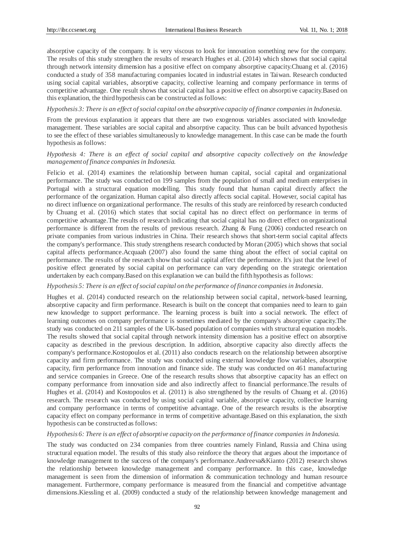absorptive capacity of the company. It is very viscous to look for innovation something new for the company. The results of this study strengthen the results of research Hughes et al. (2014) which shows that social capital through network intensity dimension has a positive effect on company absorptive capacity.Chuang et al. (2016) conducted a study of 358 manufacturing companies located in industrial estates in Taiwan. Research conducted using social capital variables, absorptive capacity, collective learning and company performance in terms of competitive advantage. One result shows that social capital has a positive effect on absorptive capacity.Based on this explanation, the third hypothesis can be constructed as follows:

#### *Hypothesis 3: There is an effect of social capital on the absorptive capacity of finance companies in Indonesia.*

From the previous explanation it appears that there are two exogenous variables associated with knowledge management. These variables are social capital and absorptive capacity. Thus can be built advanced hypothesis to see the effect of these variables simultaneously to knowledge management. In this case can be made the fourth hypothesis as follows:

# *Hypothesis 4: There is an effect of social capital and absorptive capacity collectively on the knowledge management of finance companies in Indonesia.*

Felicio et al. (2014) examines the relationship between human capital, social capital and organizational performance. The study was conducted on 199 samples from the population of small and medium enterprises in Portugal with a structural equation modelling. This study found that human capital directly affect the performance of the organization. Human capital also directly affects social capital. However, social capital has no direct influence on organizational performance. The results of this study are reinforced by research conducted by Chuang et al. (2016) which states that social capital has no direct effect on performance in terms of competitive advantage.The results of research indicating that social capital has no direct effect on organizational performance is different from the results of previous research. Zhang & Fung (2006) conducted research on private companies from various industries in China. Their research shows that short-term social capital affects the company's performance. This study strengthens research conducted by Moran (2005) which shows that social capital affects performance.Acquaah (2007) also found the same thing about the effect of social capital on performance. The results of the research show that social capital affect the performance. It's just that the level of positive effect generated by social capital on performance can vary depending on the strategic orientation undertaken by each company.Based on this explanation we can build the fifth hypothesis as follows:

#### *Hypothesis 5: There is an effect of social capital on the performance of finance companies in Indonesia.*

Hughes et al. (2014) conducted research on the relationship between social capital, network-based learning, absorptive capacity and firm performance. Research is built on the concept that companies need to learn to gain new knowledge to support performance. The learning process is built into a social network. The effect of learning outcomes on company performance is sometimes mediated by the company's absorptive capacity.The study was conducted on 211 samples of the UK-based population of companies with structural equation models. The results showed that social capital through network intensity dimension has a positive effect on absorptive capacity as described in the previous description. In addition, absorptive capacity also directly affects the company's performance.Kostopoulos et al. (2011) also conducts research on the relationship between absorptive capacity and firm performance. The study was conducted using external knowledge flow variables, absorptive capacity, firm performance from innovation and finance side. The study was conducted on 461 manufacturing and service companies in Greece. One of the research results shows that absorptive capacity has an effect on company performance from innovation side and also indirectly affect to financial performance.The results of Hughes et al. (2014) and Kostopoulos et al. (2011) is also strengthened by the results of Chuang et al. (2016) research. The research was conducted by using social capital variable, absorptive capacity, collective learning and company performance in terms of competitive advantage. One of the research results is the absorptive capacity effect on company performance in terms of competitive advantage.Based on this explanation, the sixth hypothesis can be constructed as follows:

#### *Hypothesis 6: There is an effect of absorptive capacity on the performance of finance companies in Indonesia.*

The study was conducted on 234 companies from three countries namely Finland, Russia and China using structural equation model. The results of this study also reinforce the theory that argues about the importance of knowledge management to the success of the company's performance.Andreeva&Kianto (2012) research shows the relationship between knowledge management and company performance. In this case, knowledge management is seen from the dimension of information & communication technology and human resource management. Furthermore, company performance is measured from the financial and competitive advantage dimensions.Kiessling et al. (2009) conducted a study of the relationship between knowledge management and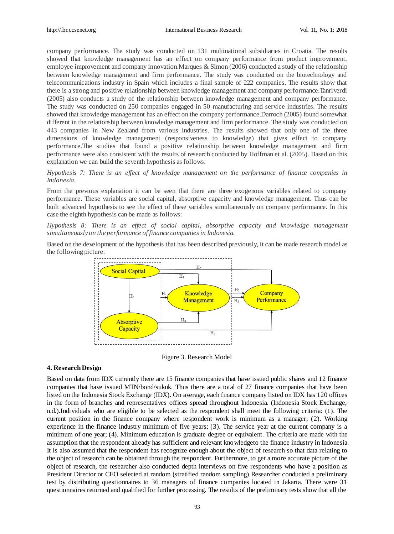company performance. The study was conducted on 131 multinational subsidiaries in Croatia. The results showed that knowledge management has an effect on company performance from product improvement, employee improvement and company innovation.Marques & Simon (2006) conducted a study of the relationship between knowledge management and firm performance. The study was conducted on the biotechnology and telecommunications industry in Spain which includes a final sample of 222 companies. The results show that there is a strong and positive relationship between knowledge management and company performance.Tanriverdi (2005) also conducts a study of the relationship between knowledge management and company performance. The study was conducted on 250 companies engaged in 50 manufacturing and service industries. The results showed that knowledge management has an effect on the company performance.Darroch (2005) found somewhat different in the relationship between knowledge management and firm performance. The study was conducted on 443 companies in New Zealand from various industries. The results showed that only one of the three dimensions of knowledge management (responsiveness to knowledge) that gives effect to company performance.The studies that found a positive relationship between knowledge management and firm performance were also consistent with the results of research conducted by Hoffman et al. (2005). Based on this explanation we can build the seventh hypothesis as follows:

*Hypothesis 7: There is an effect of knowledge management on the performance of finance companies in Indonesia.*

From the previous explanation it can be seen that there are three exogenous variables related to company performance. These variables are social capital, absorptive capacity and knowledge management. Thus can be built advanced hypothesis to see the effect of these variables simultaneously on company performance. In this case the eighth hypothesis can be made as follows:

*Hypothesis 8: There is an effect of social capital, absorptive capacity and knowledge management simultaneously on the performance of finance companies in Indonesia.*

Based on the development of the hypothesis that has been described previously, it can be made research model as the following picture:



Figure 3. Research Model

## **4. Research Design**

Based on data from IDX currently there are 15 finance companies that have issued public shares and 12 finance companies that have issued MTN/bond/sukuk. Thus there are a total of 27 finance companies that have been listed on the Indonesia Stock Exchange (IDX). On average, each finance company listed on IDX has 120 offices in the form of branches and representatives offices spread throughout Indonesia. (Indonesia Stock Exchange, n.d.).Individuals who are eligible to be selected as the respondent shall meet the following criteria: (1). The current position in the finance company where respondent work is minimum as a manager; (2). Working experience in the finance industry minimum of five years; (3). The service year at the current company is a minimum of one year; (4). Minimum education is graduate degree or equivalent. The criteria are made with the assumption that the respondent already has sufficient and relevant knowledgeto the finance industry in Indonesia. It is also assumed that the respondent has recognize enough about the object of research so that data relating to the object of research can be obtained through the respondent. Furthermore, to get a more accurate picture of the object of research, the researcher also conducted depth interviews on five respondents who have a position as President Director or CEO selected at random (stratified random sampling).Researcher conducted a preliminary test by distributing questionnaires to 36 managers of finance companies located in Jakarta. There were 31 questionnaires returned and qualified for further processing. The results of the preliminary tests show that all the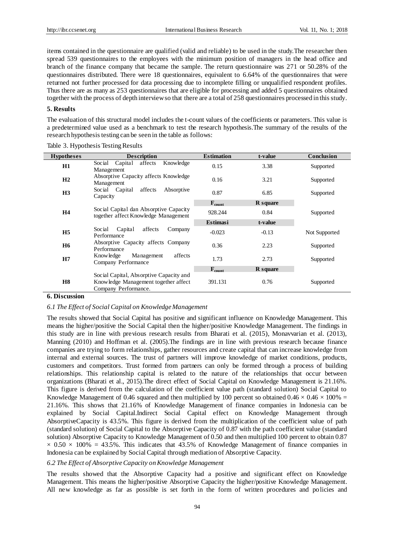items contained in the questionnaire are qualified (valid and reliable) to be used in the study.The researcher then spread 539 questionnaires to the employees with the minimum position of managers in the head office and branch of the finance company that became the sample. The return questionnaire was 271 or 50.28% of the questionnaires distributed. There were 18 questionnaires, equivalent to 6.64% of the questionnaires that were returned not further processed for data processing due to incomplete filling or unqualified respondent profiles. Thus there are as many as 253 questionnaires that are eligible for processing and added 5 questionnaires obtained together with the process of depth interview so that there are a total of 258 questionnaires processed in this study.

# **5. Results**

The evaluation of this structural model includes the t-count values of the coefficients or parameters. This value is a predetermined value used as a benchmark to test the research hypothesis.The summary of the results of the research hypothesis testing can be seen in the table as follows:

| <b>Hypotheses</b> | <b>Description</b>                                                                                      | <b>Estimation</b>           | t-value         | Conclusion    |
|-------------------|---------------------------------------------------------------------------------------------------------|-----------------------------|-----------------|---------------|
| H1                | Capital<br>affects<br>Knowledge<br>Social<br>Management                                                 | 0.15                        | 3.38            | Supported     |
| H2                | Absorptive Capacity affects Knowledge<br>Management                                                     | 0.16                        | 3.21            | Supported     |
| H <sub>3</sub>    | affects<br>Social Capital<br>Absorptive<br>Capacity                                                     | 0.87                        | 6.85            | Supported     |
|                   |                                                                                                         | $\mathbf{F}_{\text{count}}$ | <b>R</b> square |               |
| <b>H4</b>         | Social Capital dan Absorptive Capacity<br>together affect Knowledge Management                          | 928.244                     | 0.84            | Supported     |
|                   |                                                                                                         | <b>Estimasi</b>             | t-value         |               |
| H <sub>5</sub>    | affects<br>Social<br>Capital<br>Company<br>Performance                                                  | $-0.023$                    | $-0.13$         | Not Supported |
| <b>H6</b>         | Absorptive Capacity affects Company<br>Performance                                                      | 0.36                        | 2.23            | Supported     |
| H7                | affects<br>Knowledge<br>Management<br>Company Performance                                               | 1.73                        | 2.73            | Supported     |
|                   |                                                                                                         | $\mathbf{F}_{\text{count}}$ | R square        |               |
| <b>H8</b>         | Social Capital, Absorptive Capacity and<br>Knowledge Management together affect<br>Company Performance. | 391.131                     | 0.76            | Supported     |

Table 3. Hypothesis Testing Results

# **6. Discussion**

# *6.1 The Effect of Social Capital on Knowledge Management*

The results showed that Social Capital has positive and significant influence on Knowledge Management. This means the higher/positive the Social Capital then the higher/positive Knowledge Management. The findings in this study are in line with previous research results from Bharati et al. (2015), Monavvarian et al. (2013), Manning (2010) and Hoffman et al. (2005).The findings are in line with previous research because finance companies are trying to form relationships, gather resources and create capital that can increase knowledge from internal and external sources. The trust of partners will improve knowledge of market conditions, products, customers and competitors. Trust formed from partners can only be formed through a process of building relationships. This relationship capital is related to the nature of the relationships that occur between organizations (Bharati et al., 2015).The direct effect of Social Capital on Knowledge Management is 21.16%. This figure is derived from the calculation of the coefficient value path (standard solution) Social Capital to Knowledge Management of 0.46 squared and then multiplied by 100 percent so obtained  $0.46 \times 0.46 \times 100\%$  = 21.16%. This shows that 21.16% of Knowledge Management of finance companies in Indonesia can be explained by Social Capital.Indirect Social Capital effect on Knowledge Management through AbsorptiveCapacity is 43.5%. This figure is derived from the multiplication of the coefficient value of path (standard solution) of Social Capital to the Absorptive Capacity of 0.87 with the path coefficient value (standard solution) Absorptive Capacity to Knowledge Management of 0.50 and then multiplied 100 percent to obtain 0.87  $\times$  0.50  $\times$  100% = 43.5%. This indicates that 43.5% of Knowledge Management of finance companies in Indonesia can be explained by Social Capital through mediation of Absorptive Capacity.

# *6.2 The Effect of Absorptive Capacity on Knowledge Management*

The results showed that the Absorptive Capacity had a positive and significant effect on Knowledge Management. This means the higher/positive Absorptive Capacity the higher/positive Knowledge Management. All new knowledge as far as possible is set forth in the form of written procedures and policies and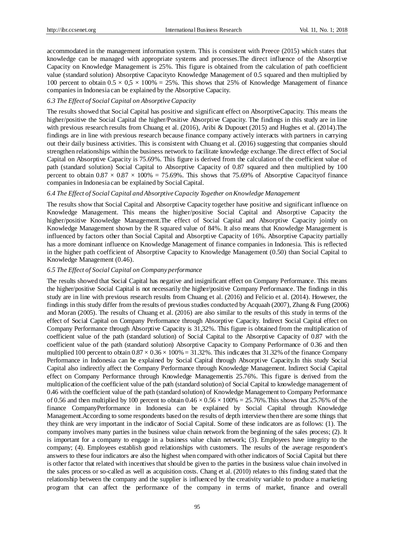accommodated in the management information system. This is consistent with Preece (2015) which states that knowledge can be managed with appropriate systems and processes.The direct influence of the Absorptive Capacity on Knowledge Management is 25%. This figure is obtained from the calculation of path coefficient value (standard solution) Absorptive Capacityto Knowledge Management of 0.5 squared and then multiplied by 100 percent to obtain  $0.5 \times 0.5 \times 100\% = 25\%$ . This shows that 25% of Knowledge Management of finance companies in Indonesia can be explained by the Absorptive Capacity.

# *6.3 The Effect of Social Capital on AbsorptiveCapacity*

The results showed that Social Capital has positive and significant effect on AbsorptiveCapacity. This means the higher/positive the Social Capital the higher/Positive Absorptive Capacity. The findings in this study are in line with previous research results from Chuang et al. (2016), Aribi & Dupouet (2015) and Hughes et al. (2014).The findings are in line with previous research because finance company actively interacts with partners in carrying out their daily business activities. This is consistent with Chuang et al. (2016) suggesting that companies should strengthen relationships within the business network to facilitate knowledge exchange.The direct effect of Social Capital on Absorptive Capacity is 75.69%. This figure is derived from the calculation of the coefficient value of path (standard solution) Social Capital to Absorptive Capacity of 0.87 squared and then multiplied by 100 percent to obtain  $0.87 \times 0.87 \times 100\% = 75.69\%$ . This shows that 75.69% of Absorptive Capacity of finance companies in Indonesia can be explained by Social Capital.

# *6.4 The Effect of Social Capital and AbsorptiveCapacity Together on Knowledge Management*

The results show that Social Capital and Absorptive Capacity together have positive and significant influence on Knowledge Management. This means the higher/positive Social Capital and Absorptive Capacity the higher/positive Knowledge Management.The effect of Social Capital and Absorptive Capacity jointly on Knowledge Management shown by the R squared value of 84%. It also means that Knowledge Management is influenced by factors other than Social Capital and Absorptive Capacity of 16%. Absorptive Capacity partially has a more dominant influence on Knowledge Management of finance companies in Indonesia. This is reflected in the higher path coefficient of Absorptive Capacity to Knowledge Management (0.50) than Social Capital to Knowledge Management (0.46).

# *6.5 The Effect of Social Capital on Company performance*

The results showed that Social Capital has negative and insignificant effect on Company Performance. This means the higher/positive Social Capital is not necessarily the higher/positive Company Performance. The findings in this study are in line with previous research results from Chuang et al. (2016) and Felicio et al. (2014). However, the findings in this study differ from the results of previous studies conducted by Acquaah (2007), Zhang & Fung (2006) and Moran (2005). The results of Chuang et al. (2016) are also similar to the results of this study in terms of the effect of Social Capital on Company Performance through Absorptive Capacity. Indirect Social Capital effect on Company Performance through Absorptive Capacity is 31,32%. This figure is obtained from the multiplication of coefficient value of the path (standard solution) of Social Capital to the Absorptive Capacity of 0.87 with the coefficient value of the path (standard solution) Absorptive Capacity to Company Performance of 0.36 and then multiplied 100 percent to obtain  $0.87 \times 0.36 \times 100\% = 31.32\%$ . This indicates that 31.32% of the finance Company Performance in Indonesia can be explained by Social Capital through Absorptive Capacity.In this study Social Capital also indirectly affect the Company Performance through Knowledge Management. Indirect Social Capital effect on Company Performance through Knowledge Managementis 25.76%. This figure is derived from the multiplication of the coefficient value of the path (standard solution) of Social Capital to knowledge management of 0.46 with the coefficient value of the path (standard solution) of Knowledge Management to Company Performance of 0.56 and then multiplied by 100 percent to obtain  $0.46 \times 0.56 \times 100\% = 25.76\%$ . This shows that 25.76% of the finance CompanyPerformance in Indonesia can be explained by Social Capital through Knowledge Management.According to some respondents based on the results of depth interview then there are some things that they think are very important in the indicator of Social Capital. Some of these indicators are as follows: (1). The company involves many parties in the business value chain network from the beginning of the sales process; (2). It is important for a company to engage in a business value chain network; (3). Employees have integrity to the company; (4). Employees establish good relationships with customers. The results of the average respondent's answers to these four indicators are also the highest when compared with other indicators of Social Capital but there is other factor that related with incentives that should be given to the parties in the business value chain involved in the sales process or so-called as well as acquisition costs. Chang et al. (2010) relates to this finding stated that the relationship between the company and the supplier is influenced by the creativity variable to produce a marketing program that can affect the performance of the company in terms of market, finance and overall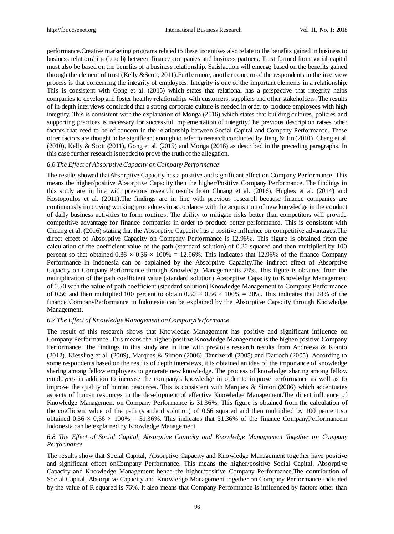performance.Creative marketing programs related to these incentives also relate to the benefits gained in business to business relationships (b to b) between finance companies and business partners. Trust formed from social capital must also be based on the benefits of a business relationship. Satisfaction will emerge based on the benefits gained through the element of trust (Kelly &Scott, 2011).Furthermore, another concern of the respondents in the interview process is that concerning the integrity of employees. Integrity is one of the important elements in a relationship. This is consistent with Gong et al. (2015) which states that relational has a perspective that integrity helps companies to develop and foster healthy relationships with customers, suppliers and other stakeholders. The results of in-depth interviews concluded that a strong corporate culture is needed in order to produce employees with high integrity. This is consistent with the explanation of Monga (2016) which states that building cultures, policies and supporting practices is necessary for successful implementation of integrity.The previous description raises other factors that need to be of concern in the relationship between Social Capital and Company Performance. These other factors are thought to be significant enough to refer to research conducted by Jiang  $\&$  Jin (2010), Chang et al. (2010), Kelly & Scott (2011), Gong et al. (2015) and Monga (2016) as described in the preceding paragraphs. In this case further research is needed to prove the truth of the allegation.

# *6.6 The Effect of AbsorptiveCapacity on Company Performance*

The results showed thatAbsorptive Capacity has a positive and significant effect on Company Performance. This means the higher/positive Absorptive Capacity then the higher/Positive Company Performance. The findings in this study are in line with previous research results from Chuang et al. (2016), Hughes et al. (2014) and Kostopoulos et al. (2011).The findings are in line with previous research because finance companies are continuously improving working procedures in accordance with the acquisition of new knowledge in the conduct of daily business activities to form routines. The ability to mitigate risks better than competitors will provide competitive advantage for finance companies in order to produce better performance. This is consistent with Chuang et al. (2016) stating that the Absorptive Capacity has a positive influence on competitive advantages.The direct effect of Absorptive Capacity on Company Performance is 12.96%. This figure is obtained from the calculation of the coefficient value of the path (standard solution) of 0.36 squared and then multiplied by 100 percent so that obtained  $0.36 \times 0.36 \times 100\% = 12.96\%$ . This indicates that 12.96% of the finance Company Performance in Indonesia can be explained by the Absorptive Capacity.The indirect effect of Absorptive Capacity on Company Performance through Knowledge Managementis 28%. This figure is obtained from the multiplication of the path coefficient value (standard solution) Absorptive Capacity to Knowledge Management of 0.50 with the value of path coefficient (standard solution) Knowledge Management to Company Performance of 0.56 and then multiplied 100 percent to obtain  $0.50 \times 0.56 \times 100\% = 28\%$ . This indicates that 28% of the finance CompanyPerformance in Indonesia can be explained by the Absorptive Capacity through Knowledge Management.

# *6.7 The Effect of Knowledge Management onCompanyPerformance*

The result of this research shows that Knowledge Management has positive and significant influence on Company Performance. This means the higher/positive Knowledge Management is the higher/positive Company Performance. The findings in this study are in line with previous research results from Andreeva & Kianto (2012), Kiessling et al. (2009), Marques & Simon (2006), Tanriverdi (2005) and Darroch (2005). According to some respondents based on the results of depth interviews, it is obtained an idea of the importance of knowledge sharing among fellow employees to generate new knowledge. The process of knowledge sharing among fellow employees in addition to increase the company's knowledge in order to improve performance as well as to improve the quality of human resources. This is consistent with Marques & Simon (2006) which accentuates aspects of human resources in the development of effective Knowledge Management.The direct influence of Knowledge Management on Company Performance is 31.36%. This figure is obtained from the calculation of the coefficient value of the path (standard solution) of 0.56 squared and then multiplied by 100 percent so obtained  $0.56 \times 0.56 \times 100\% = 31,36\%$ . This indicates that 31.36% of the finance CompanyPerformancein Indonesia can be explained by Knowledge Management.

# *6.8 The Effect of Social Capital, Absorptive Capacity and Knowledge Management Together on Company Performance*

The results show that Social Capital, Absorptive Capacity and Knowledge Management together have positive and significant effect onCompany Performance. This means the higher/positive Social Capital, Absorptive Capacity and Knowledge Management hence the higher/positive Company Performance.The contribution of Social Capital, Absorptive Capacity and Knowledge Management together on Company Performance indicated by the value of R squared is 76%. It also means that Company Performance is influenced by factors other than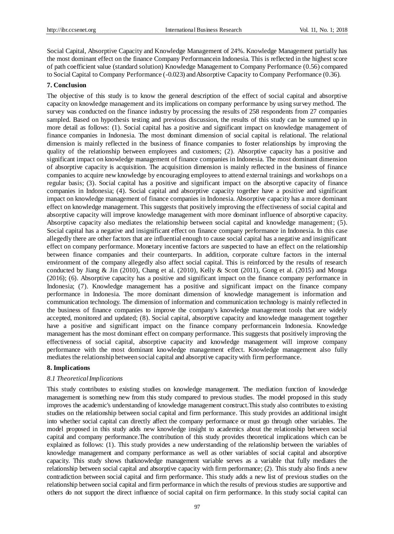Social Capital, Absorptive Capacity and Knowledge Management of 24%. Knowledge Management partially has the most dominant effect on the finance Company Performancein Indonesia. This is reflected in the highest score of path coefficient value (standard solution) Knowledge Management to Company Performance (0.56) compared to Social Capital to Company Performance (-0.023) and Absorptive Capacity to Company Performance (0.36).

## **7. Conclusion**

The objective of this study is to know the general description of the effect of social capital and absorptive capacity on knowledge management and its implications on company performance by using survey method. The survey was conducted on the finance industry by processing the results of 258 respondents from 27 companies sampled. Based on hypothesis testing and previous discussion, the results of this study can be summed up in more detail as follows: (1). Social capital has a positive and significant impact on knowledge management of finance companies in Indonesia. The most dominant dimension of social capital is relational. The relational dimension is mainly reflected in the business of finance companies to foster relationships by improving the quality of the relationship between employees and customers; (2). Absorptive capacity has a positive and significant impact on knowledge management of finance companies in Indonesia. The most dominant dimension of absorptive capacity is acquisition. The acquisition dimension is mainly reflected in the business of finance companies to acquire new knowledge by encouraging employees to attend external trainings and workshops on a regular basis; (3). Social capital has a positive and significant impact on the absorptive capacity of finance companies in Indonesia; (4). Social capital and absorptive capacity together have a positive and significant impact on knowledge management of finance companies in Indonesia. Absorptive capacity has a more dominant effect on knowledge management. This suggests that positively improving the effectiveness of social capital and absorptive capacity will improve knowledge management with more dominant influence of absorptive capacity. Absorptive capacity also mediates the relationship between social capital and knowledge management; (5). Social capital has a negative and insignificant effect on finance company performance in Indonesia. In this case allegedly there are other factors that are influential enough to cause social capital has a negative and insignificant effect on company performance. Monetary incentive factors are suspected to have an effect on the relationship between finance companies and their counterparts. In addition, corporate culture factors in the internal environment of the company allegedly also affect social capital. This is reinforced by the results of research conducted by Jiang & Jin (2010), Chang et al. (2010), Kelly & Scott (2011), Gong et al. (2015) and Monga (2016); (6). Absorptive capacity has a positive and significant impact on the finance company performance in Indonesia; (7). Knowledge management has a positive and significant impact on the finance company performance in Indonesia. The more dominant dimension of knowledge management is information and communication technology. The dimension of information and communication technology is mainly reflected in the business of finance companies to improve the company's knowledge management tools that are widely accepted, monitored and updated; (8). Social capital, absorptive capacity and knowledge management together have a positive and significant impact on the finance company performancein Indonesia. Knowledge management has the most dominant effect on company performance. This suggests that positively improving the effectiveness of social capital, absorptive capacity and knowledge management will improve company performance with the most dominant knowledge management effect. Knowledge management also fully mediates the relationship between social capital and absorptive capacity with firm performance.

# **8. Implications**

# *8.1 Theoretical Implications*

This study contributes to existing studies on knowledge management. The mediation function of knowledge management is something new from this study compared to previous studies. The model proposed in this study improves the academic's understanding of knowledge management construct.This study also contributes to existing studies on the relationship between social capital and firm performance. This study provides an additional insight into whether social capital can directly affect the company performance or must go through other variables. The model proposed in this study adds new knowledge insight to academics about the relationship between social capital and company performance.The contribution of this study provides theoretical implications which can be explained as follows: (1). This study provides a new understanding of the relationship between the variables of knowledge management and company performance as well as other variables of social capital and absorptive capacity. This study shows thatknowledge management variable serves as a variable that fully mediates the relationship between social capital and absorptive capacity with firm performance; (2). This study also finds a new contradiction between social capital and firm performance. This study adds a new list of previous studies on the relationship between social capital and firm performance in which the results of previous studies are supportive and others do not support the direct influence of social capital on firm performance. In this study social capital can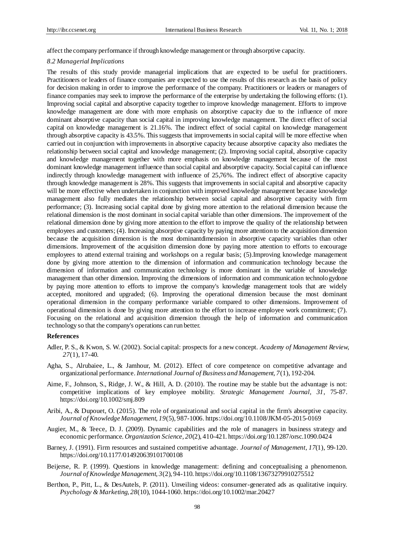affect the company performance if through knowledge management or through absorptive capacity.

#### *8.2 Managerial Implications*

The results of this study provide managerial implications that are expected to be useful for practitioners. Practitioners or leaders of finance companies are expected to use the results of this research as the basis of policy for decision making in order to improve the performance of the company. Practitioners or leaders or managers of finance companies may seek to improve the performance of the enterprise by undertaking the following efforts: (1). Improving social capital and absorptive capacity together to improve knowledge management. Efforts to improve knowledge management are done with more emphasis on absorptive capacity due to the influence of more dominant absorptive capacity than social capital in improving knowledge management. The direct effect of social capital on knowledge management is 21.16%. The indirect effect of social capital on knowledge management through absorptive capacity is 43.5%. This suggests that improvements in social capital will be more effective when carried out in conjunction with improvements in absorptive capacity because absorptive capacity also mediates the relationship between social capital and knowledge management; (2). Improving social capital, absorptive capacity and knowledge management together with more emphasis on knowledge management because of the most dominant knowledge management influence than social capital and absorptive capacity. Social capital can influence indirectly through knowledge management with influence of 25,76%. The indirect effect of absorptive capacity through knowledge management is 28%. This suggests that improvements in social capital and absorptive capacity will be more effective when undertaken in conjunction with improved knowledge management because knowledge management also fully mediates the relationship between social capital and absorptive capacity with firm performance; (3). Increasing social capital done by giving more attention to the relational dimension because the relational dimension is the most dominant in social capital variable than other dimensions. The improvement of the relational dimension done by giving more attention to the effort to improve the quality of the relationship between employees and customers; (4). Increasing absorptive capacity by paying more attention to the acquisition dimension because the acquisition dimension is the most dominantdimension in absorptive capacity variables than other dimensions. Improvement of the acquisition dimension done by paying more attention to efforts to encourage employees to attend external training and workshops on a regular basis; (5).Improving knowledge management done by giving more attention to the dimension of information and communication technology because the dimension of information and communication technology is more dominant in the variable of knowledge management than other dimension. Improving the dimensions of information and communication technologydone by paying more attention to efforts to improve the company's knowledge management tools that are widely accepted, monitored and upgraded; (6). Improving the operational dimension because the most dominant operational dimension in the company performance variable compared to other dimensions. Improvement of operational dimension is done by giving more attention to the effort to increase employee work commitment; (7). Focusing on the relational and acquisition dimension through the help of information and communication technology so that the company's operations can run better.

## **References**

- Adler, P. S., & Kwon, S. W. (2002). Social capital: prospects for a new concept. *Academy of Management Review, 27*(1), 17-40.
- Agha, S., Alrubaiee, L., & Jamhour, M. (2012). Effect of core competence on competitive advantage and organizational performance. *International Journal of Business and Management, 7*(1), 192-204.
- Aime, F., Johnson, S., Ridge, J. W., & Hill, A. D. (2010). The routine may be stable but the advantage is not: competitive implications of key employee mobility. *Strategic Management Journal, 31*, 75-87. https://doi.org/10.1002/smj.809
- Aribi, A., & Dupouet, O. (2015). The role of organizational and social capital in the firm's absorptive capacity. *Journal of Knowledge Management, 19*(5), 987-1006. https://doi.org/10.1108/JKM-05-2015-0169
- Augier, M., & Teece, D. J. (2009). Dynamic capabilities and the role of managers in business strategy and economic performance. *Organization Science, 20*(2), 410-421. https://doi.org/10.1287/orsc.1090.0424
- Barney, J. (1991). Firm resources and sustained competitive advantage. *Journal of Management, 17*(1), 99-120. https://doi.org/10.1177/014920639101700108
- Beijerse, R. P. (1999). Questions in knowledge management: defining and conceptualising a phenomenon. *Journal of Knowledge Management, 3*(2), 94-110. https://doi.org/10.1108/13673279910275512
- Berthon, P., Pitt, L., & DesAutels, P. (2011). Unveiling videos: consumer-generated ads as qualitative inquiry. *Psychology & Marketing, 28*(10), 1044-1060. https://doi.org/10.1002/mar.20427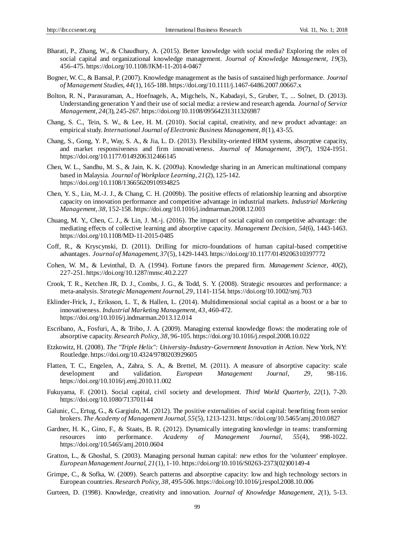- Bharati, P., Zhang, W., & Chaudhury, A. (2015). Better knowledge with social media? Exploring the roles of social capital and organizational knowledge management. *Journal of Knowledge Management, 19*(3), 456-475. https://doi.org/10.1108/JKM-11-2014-0467
- Bogner, W. C., & Bansal, P. (2007). Knowledge management as the basis of sustained high performance. *Journal of Management Studies, 44*(1), 165-188. https://doi.org/10.1111/j.1467-6486.2007.00667.x
- Bolton, R. N., Parasuraman, A., Hoefnagels, A., Migchels, N., Kabadayi, S., Gruber, T., ... Solnet, D. (2013). Understanding generation Y and their use of social media: a review and research agenda. *Journal of Service Management, 24*(3), 245-267. https://doi.org/10.1108/09564231311326987
- Chang, S. C., Tein, S. W., & Lee, H. M. (2010). Social capital, creativity, and new product advantage: an empirical study. *International Journal of Electronic Business Management, 8*(1), 43-55.
- Chang, S., Gong, Y. P., Way, S. A., & Jia, L. D. (2013). Flexibility-oriented HRM systems, absorptive capacity, and market responsiveness and firm innovativeness. *Journal of Management, 39*(7), 1924-1951. https://doi.org/10.1177/0149206312466145
- Chen, W. L., Sandhu, M. S., & Jain, K. K. (2009a). Knowledge sharing in an American multinational company based in Malaysia. *Journal of Workplace Learning, 21*(2), 125-142. https://doi.org/10.1108/13665620910934825
- Chen, Y. S., Lin, M.-J. J., & Chang, C. H. (2009b). The positive effects of relationship learning and absorptive capacity on innovation performance and competitive advantage in industrial markets. *Industrial Marketing Management, 38*, 152-158. https://doi.org/10.1016/j.indmarman.2008.12.003
- Chuang, M. Y., Chen, C. J., & Lin, J. M.-j. (2016). The impact of social capital on competitive advantage: the mediating effects of collective learning and absorptive capacity. *Management Decision, 54*(6), 1443-1463. https://doi.org/10.1108/MD-11-2015-0485
- Coff, R., & Kryscynski, D. (2011). Drilling for micro-foundations of human capital-based competitive advantages. *Journal of Management, 37*(5), 1429-1443. https://doi.org/10.1177/0149206310397772
- Cohen, W. M., & Levinthal, D. A. (1994). Fortune favors the prepared firm. *Management Science, 40*(2), 227-251. https://doi.org/10.1287/mnsc.40.2.227
- Crook, T. R., Ketchen JR, D. J., Combs, J. G., & Todd, S. Y. (2008). Strategic resources and performance: a meta-analysis. *Strategic Management Journal, 29*, 1141-1154. https://doi.org/10.1002/smj.703
- Eklinder-Frick, J., Eriksson, L. T., & Hallen, L. (2014). Multidimensional social capital as a boost or a bar to innovativeness. *Industrial Marketing Management, 43*, 460-472. https://doi.org/10.1016/j.indmarman.2013.12.014
- Escribano, A., Fosfuri, A., & Tribo, J. A. (2009). Managing external knowledge flows: the moderating role of absorptive capacity. *Research Policy, 38*, 96-105. https://doi.org/10.1016/j.respol.2008.10.022
- Etzkowitz, H. (2008). *The "Triple Helix": University-Industry-Government Innovation in Action.* New York, NY: Routledge. https://doi.org/10.4324/9780203929605
- Flatten, T. C., Engelen, A., Zahra, S. A., & Brettel, M. (2011). A measure of absorptive capacity: scale development and validation. *European Management Journal, 29*, 98-116. https://doi.org/10.1016/j.emj.2010.11.002
- Fukuyama, F. (2001). Social capital, civil society and development. *Third World Quarterly, 22*(1), 7-20. https://doi.org/10.1080/713701144
- Galunic, C., Ertug, G., & Gargiulo, M. (2012). The positive externalities of social capital: benefiting from senior brokers. *The Academy of Management Journal, 55*(5), 1213-1231. https://doi.org/10.5465/amj.2010.0827
- Gardner, H. K., Gino, F., & Staats, B. R. (2012). Dynamically integrating knowledge in teams: transforming resources into performance. *Academy of Management Journal, 55*(4), 998-1022. https://doi.org/10.5465/amj.2010.0604
- Gratton, L., & Ghoshal, S. (2003). Managing personal human capital: new ethos for the 'volunteer' employee. *European Management Journal, 21*(1), 1-10. https://doi.org/10.1016/S0263-2373(02)00149-4
- Grimpe, C., & Sofka, W. (2009). Search patterns and absorptive capacity: low and high technology sectors in European countries. *Research Policy, 38*, 495-506. https://doi.org/10.1016/j.respol.2008.10.006
- Gurteen, D. (1998). Knowledge, creativity and innovation. *Journal of Knowledge Management, 2*(1), 5-13.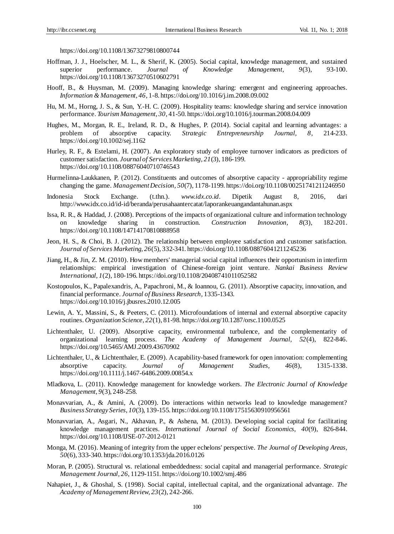https://doi.org/10.1108/13673279810800744

- Hoffman, J. J., Hoelscher, M. L., & Sherif, K. (2005). Social capital, knowledge management, and sustained superior performance. *Journal of Knowledge Management, 9*(3), 93-100. https://doi.org/10.1108/13673270510602791
- Hooff, B., & Huysman, M. (2009). Managing knowledge sharing: emergent and engineering approaches. *Information & Management, 46*, 1-8. https://doi.org/10.1016/j.im.2008.09.002
- Hu, M. M., Horng, J. S., & Sun, Y.-H. C. (2009). Hospitality teams: knowledge sharing and service innovation performance. *Tourism Management, 30*, 41-50. https://doi.org/10.1016/j.tourman.2008.04.009
- Hughes, M., Morgan, R. E., Ireland, R. D., & Hughes, P. (2014). Social capital and learning advantages: a problem of absorptive capacity. *Strategic Entrepreneurship Journal, 8*, 214-233. https://doi.org/10.1002/sej.1162
- Hurley, R. F., & Estelami, H. (2007). An exploratory study of employee turnover indicators as predictors of customer satisfaction. *Journal of Services Marketing, 21*(3), 186-199. https://doi.org/10.1108/08876040710746543
- Hurmelinna-Laukkanen, P. (2012). Constituents and outcomes of absorptive capacity appropriability regime changing the game. *Management Decision, 50*(7), 1178-1199. https://doi.org/10.1108/00251741211246950
- Indonesia Stock Exchange. (t.thn.). *www.idx.co.id*. Dipetik August 8, 2016, dari http://www.idx.co.id/id-id/beranda/perusahaantercatat/laporankeuangandantahunan.aspx
- Issa, R. R., & Haddad, J. (2008). Perceptions of the impacts of organizational culture and information technology knowledge sharing in construction. *Construction Innovation*,  $8(3)$ , 182-201. https://doi.org/10.1108/14714170810888958
- Jeon, H. S., & Choi, B. J. (2012). The relationship between employee satisfaction and customer satisfaction. *Journal of Services Marketing, 26*(5), 332-341. https://doi.org/10.1108/08876041211245236
- Jiang, H., & Jin, Z. M. (2010). How members' managerial social capital influences their opportunism in interfirm relationships: empirical investigation of Chinese-foreign joint venture. *Nankai Business Review International, 1*(2), 180-196. https://doi.org/10.1108/20408741011052582
- Kostopoulos, K., Papalexandris, A., Papachroni, M., & Ioannou, G. (2011). Absorptive capacity, innovation, and financial performance. *Journal of Business Research*, 1335-1343. https://doi.org/10.1016/j.jbusres.2010.12.005
- Lewin, A. Y., Massini, S., & Peeters, C. (2011). Microfoundations of internal and external absorptive capacity routines. *Organization Science, 22*(1), 81-98. https://doi.org/10.1287/orsc.1100.0525
- Lichtenthaler, U. (2009). Absorptive capacity, environmental turbulence, and the complementarity of organizational learning process. *The Academy of Management Journal, 52*(4), 822-846. https://doi.org/10.5465/AMJ.2009.43670902
- Lichtenthaler, U., & Lichtenthaler, E. (2009). A capability-based framework for open innovation: complementing absorptive capacity. *Journal of Management Studies, 46*(8), 1315-1338. https://doi.org/10.1111/j.1467-6486.2009.00854.x
- Mladkova, L. (2011). Knowledge management for knowledge workers. *The Electronic Journal of Knowledge Management, 9*(3), 248-258.
- Monavvarian, A., & Amini, A. (2009). Do interactions within networks lead to knowledge management? *Business Strategy Series, 10*(3), 139-155. https://doi.org/10.1108/17515630910956561
- Monavvarian, A., Asgari, N., Akhavan, P., & Ashena, M. (2013). Developing social capital for facilitating knowledge management practices. *International Journal of Social Economics, 40*(9), 826-844. https://doi.org/10.1108/IJSE-07-2012-0121
- Monga, M. (2016). Meaning of integrity from the upper echelons' perspective. *The Journal of Developing Areas, 50*(6), 333-340. https://doi.org/10.1353/jda.2016.0126
- Moran, P. (2005). Structural vs. relational embeddedness: social capital and managerial performance. *Strategic Management Journal, 26*, 1129-1151. https://doi.org/10.1002/smj.486
- Nahapiet, J., & Ghoshal, S. (1998). Social capital, intellectual capital, and the organizational advantage. *The Academy of Management Review, 23*(2), 242-266.